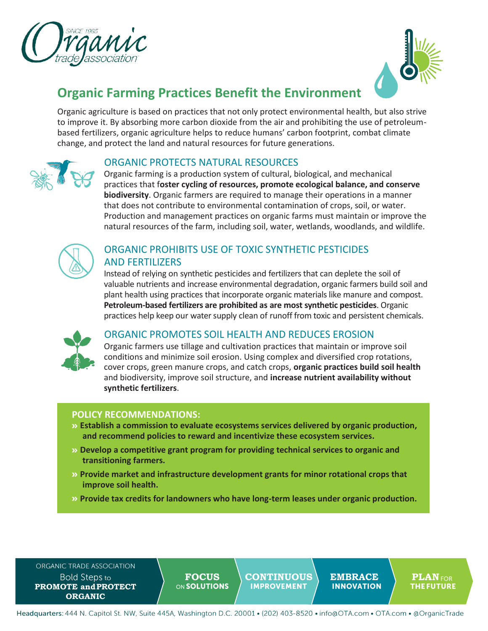



# **Organic Farming Practices Benefit the Environment**

Organic agriculture is based on practices that not only protect environmental health, but also strive to improve it. By absorbing more carbon dioxide from the air and prohibiting the use of petroleumbased fertilizers, organic agriculture helps to reduce humans' carbon footprint, combat climate change, and protect the land and natural resources for future generations.



### ORGANIC PROTECTS NATURAL RESOURCES

Organic farming is a production system of cultural, biological, and mechanical practices that f**oster cycling of resources, promote ecological balance, and conserve biodiversity**. Organic farmers are required to manage their operations in a manner that does not contribute to environmental contamination of crops, soil, or water. Production and management practices on organic farms must maintain or improve the natural resources of the farm, including soil, water, wetlands, woodlands, and wildlife.



## ORGANIC PROHIBITS USE OF TOXIC SYNTHETIC PESTICIDES AND FERTILIZERS

Instead of relying on synthetic pesticides and fertilizers that can deplete the soil of valuable nutrients and increase environmental degradation, organic farmers build soil and plant health using practices that incorporate organic materials like manure and compost. **Petroleum-based fertilizers are prohibited as are most synthetic pesticides**. Organic practices help keep our water supply clean of runoff from toxic and persistent chemicals.



### ORGANIC PROMOTES SOIL HEALTH AND REDUCES EROSION

Organic farmers use tillage and cultivation practices that maintain or improve soil conditions and minimize soil erosion. Using complex and diversified crop rotations, cover crops, green manure crops, and catch crops, **organic practices build soil health**  and biodiversity, improve soil structure, and **increase nutrient availability without synthetic fertilizers**.

#### **POLICY RECOMMENDATIONS:**

- **Establish a commission to evaluate ecosystems services delivered by organic production, and recommend policies to reward and incentivize these ecosystem services.**
- **Develop a competitive grant program for providing technical services to organic and transitioning farmers.**
- **Provide market and infrastructure development grants for minor rotational crops that improve soil health.**
- **Provide tax credits for landowners who have long-term leases under organic production.**

ORGANIC TRADE ASSOCIATION **Bold Steps to PROMOTE andPROTECT ORGANIC**

**FOCUS** CONTINUOUS EMBRACE PLANFOR<br> **EMBRACE** PLANFOR

Headquarters: 444 N. Capitol St. NW, Suite 445A, Washington D.C. 20001 • (202) 403-8520 • info@OTA.com • OTA.com • @OrganicTrade